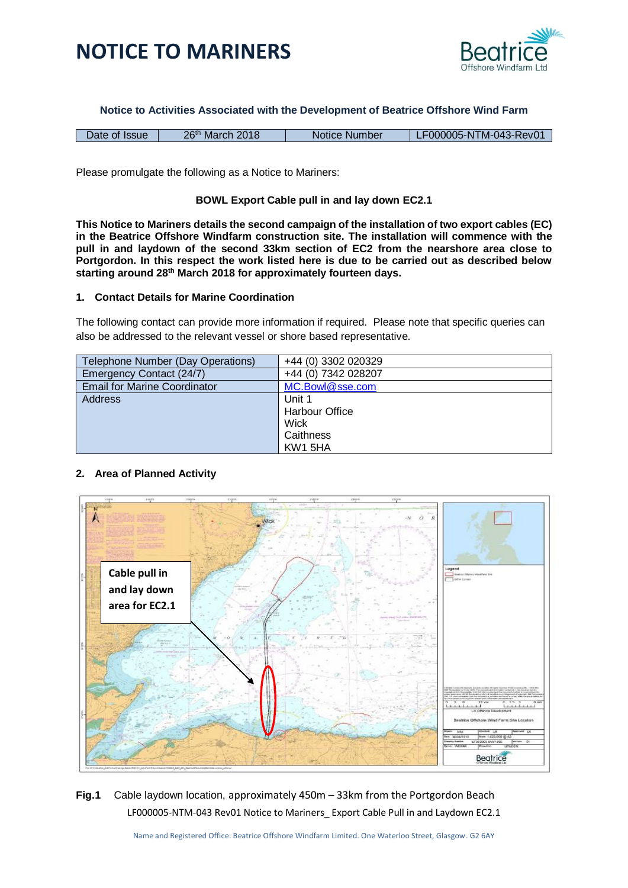



**Notice to Activities Associated with the Development of Beatrice Offshore Wind Farm**

| Date of Issue | 26 <sup>th</sup> March 2018 | Notice Number | LF000005-NTM-043-Rev01 |
|---------------|-----------------------------|---------------|------------------------|

Please promulgate the following as a Notice to Mariners:

#### **BOWL Export Cable pull in and lay down EC2.1**

**This Notice to Mariners details the second campaign of the installation of two export cables (EC) in the Beatrice Offshore Windfarm construction site. The installation will commence with the pull in and laydown of the second 33km section of EC2 from the nearshore area close to Portgordon. In this respect the work listed here is due to be carried out as described below starting around 28th March 2018 for approximately fourteen days.**

#### **1. Contact Details for Marine Coordination**

The following contact can provide more information if required. Please note that specific queries can also be addressed to the relevant vessel or shore based representative.

| Telephone Number (Day Operations)   | +44 (0) 3302 020329 |  |
|-------------------------------------|---------------------|--|
| Emergency Contact (24/7)            | +44 (0) 7342 028207 |  |
| <b>Email for Marine Coordinator</b> | MC.Bowl@sse.com     |  |
| Address                             | Unit 1              |  |
|                                     | Harbour Office      |  |
|                                     | Wick                |  |
|                                     | Caithness           |  |
|                                     | KW1 5HA             |  |

### **2. Area of Planned Activity**



LF000005-NTM-043 Rev01 Notice to Mariners\_ Export Cable Pull in and Laydown EC2.1 **Fig.1** Cable laydown location, approximately 450m – 33km from the Portgordon Beach

Name and Registered Office: Beatrice Offshore Windfarm Limited. One Waterloo Street, Glasgow. G2 6AY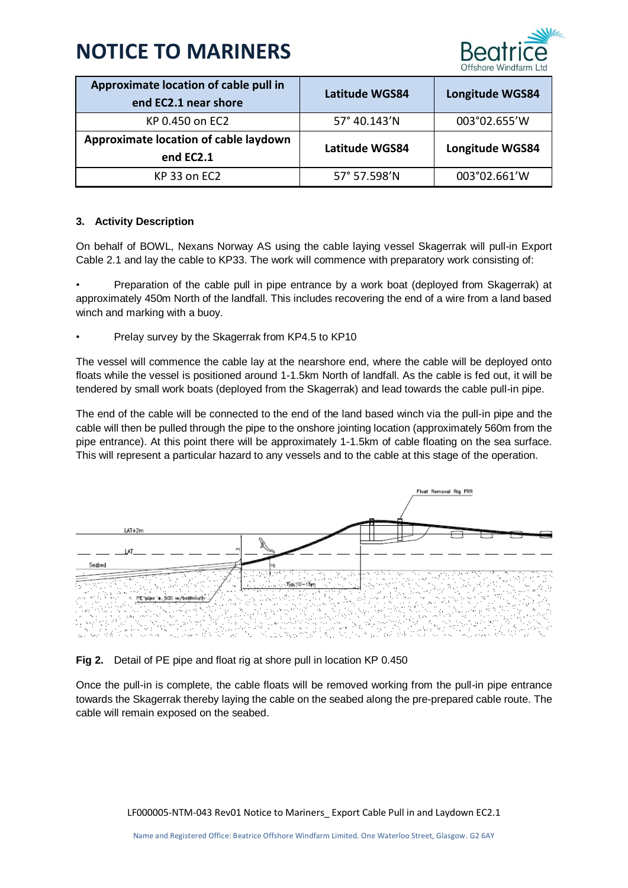

| Approximate location of cable pull in<br>end EC2.1 near shore | Latitude WGS84 | <b>Longitude WGS84</b> |
|---------------------------------------------------------------|----------------|------------------------|
| KP 0.450 on EC2                                               | 57° 40.143'N   | 003°02.655'W           |
| Approximate location of cable laydown<br>end EC2.1            | Latitude WGS84 | Longitude WGS84        |
| KP 33 on EC2                                                  | 57° 57.598'N   | 003°02.661'W           |

## **3. Activity Description**

On behalf of BOWL, Nexans Norway AS using the cable laying vessel Skagerrak will pull-in Export Cable 2.1 and lay the cable to KP33. The work will commence with preparatory work consisting of:

• Preparation of the cable pull in pipe entrance by a work boat (deployed from Skagerrak) at approximately 450m North of the landfall. This includes recovering the end of a wire from a land based winch and marking with a buoy.

• Prelay survey by the Skagerrak from KP4.5 to KP10

The vessel will commence the cable lay at the nearshore end, where the cable will be deployed onto floats while the vessel is positioned around 1-1.5km North of landfall. As the cable is fed out, it will be tendered by small work boats (deployed from the Skagerrak) and lead towards the cable pull-in pipe.

The end of the cable will be connected to the end of the land based winch via the pull-in pipe and the cable will then be pulled through the pipe to the onshore jointing location (approximately 560m from the pipe entrance). At this point there will be approximately 1-1.5km of cable floating on the sea surface. This will represent a particular hazard to any vessels and to the cable at this stage of the operation.



## **Fig 2.** Detail of PE pipe and float rig at shore pull in location KP 0.450

Once the pull-in is complete, the cable floats will be removed working from the pull-in pipe entrance towards the Skagerrak thereby laying the cable on the seabed along the pre-prepared cable route. The cable will remain exposed on the seabed.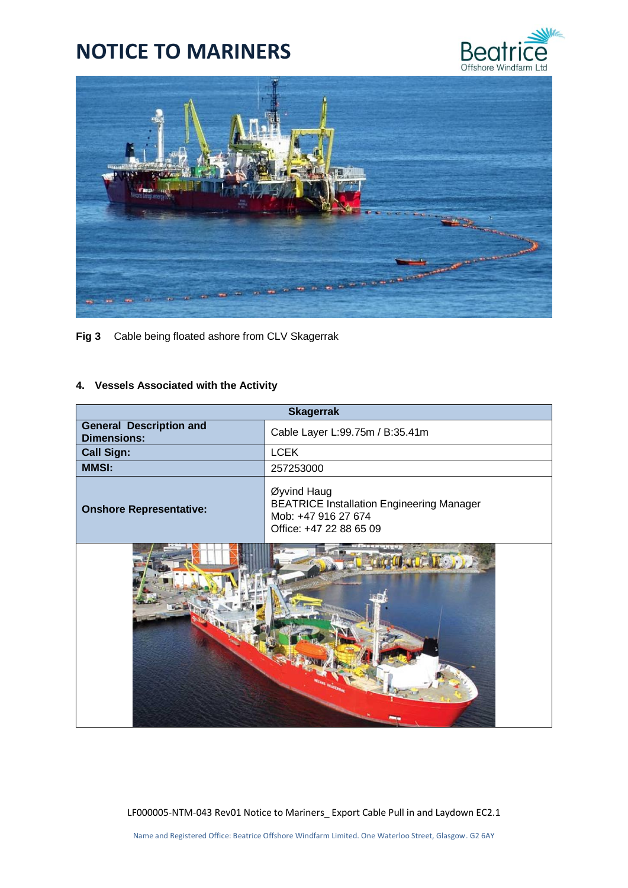



**Fig 3** Cable being floated ashore from CLV Skagerrak

### **4. Vessels Associated with the Activity**

| <b>Skagerrak</b>                                     |                                                                                                                   |  |
|------------------------------------------------------|-------------------------------------------------------------------------------------------------------------------|--|
| <b>General Description and</b><br><b>Dimensions:</b> | Cable Layer L:99.75m / B:35.41m                                                                                   |  |
| <b>Call Sign:</b>                                    | <b>LCEK</b>                                                                                                       |  |
| <b>MMSI:</b>                                         | 257253000                                                                                                         |  |
| <b>Onshore Representative:</b>                       | Øyvind Haug<br><b>BEATRICE Installation Engineering Manager</b><br>Mob: +47 916 27 674<br>Office: +47 22 88 65 09 |  |
|                                                      |                                                                                                                   |  |

LF000005-NTM-043 Rev01 Notice to Mariners\_ Export Cable Pull in and Laydown EC2.1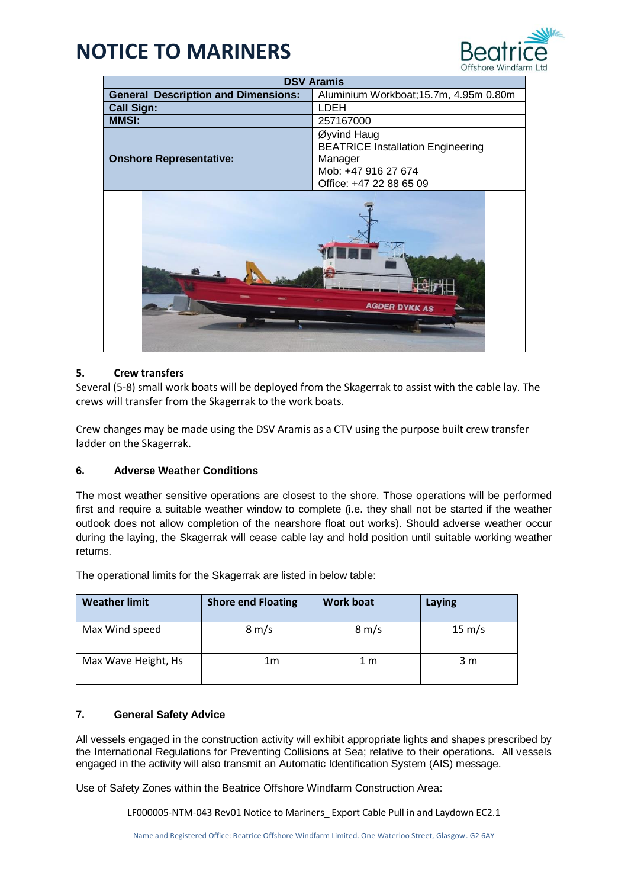

| <b>DSV Aramis</b>                          |                                                                                                                      |  |
|--------------------------------------------|----------------------------------------------------------------------------------------------------------------------|--|
| <b>General Description and Dimensions:</b> | Aluminium Workboat; 15.7m, 4.95m 0.80m                                                                               |  |
| <b>Call Sign:</b>                          | <b>LDEH</b>                                                                                                          |  |
| <b>MMSI:</b>                               | 257167000                                                                                                            |  |
| <b>Onshore Representative:</b>             | Øyvind Haug<br><b>BEATRICE Installation Engineering</b><br>Manager<br>Mob: +47 916 27 674<br>Office: +47 22 88 65 09 |  |
| <b>AGDER DYKK AS</b>                       |                                                                                                                      |  |

## **5. Crew transfers**

Several (5-8) small work boats will be deployed from the Skagerrak to assist with the cable lay. The crews will transfer from the Skagerrak to the work boats.

Crew changes may be made using the DSV Aramis as a CTV using the purpose built crew transfer ladder on the Skagerrak.

### **6. Adverse Weather Conditions**

The most weather sensitive operations are closest to the shore. Those operations will be performed first and require a suitable weather window to complete (i.e. they shall not be started if the weather outlook does not allow completion of the nearshore float out works). Should adverse weather occur during the laying, the Skagerrak will cease cable lay and hold position until suitable working weather returns.

| <b>Weather limit</b> | <b>Shore end Floating</b> | <b>Work boat</b> | Laying           |
|----------------------|---------------------------|------------------|------------------|
| Max Wind speed       | $8 \text{ m/s}$           | $8 \text{ m/s}$  | $15 \text{ m/s}$ |
| Max Wave Height, Hs  | 1m                        | 1 m              | 3 m              |

The operational limits for the Skagerrak are listed in below table:

### **7. General Safety Advice**

All vessels engaged in the construction activity will exhibit appropriate lights and shapes prescribed by the International Regulations for Preventing Collisions at Sea; relative to their operations. All vessels engaged in the activity will also transmit an Automatic Identification System (AIS) message.

Use of Safety Zones within the Beatrice Offshore Windfarm Construction Area:

LF000005-NTM-043 Rev01 Notice to Mariners\_ Export Cable Pull in and Laydown EC2.1